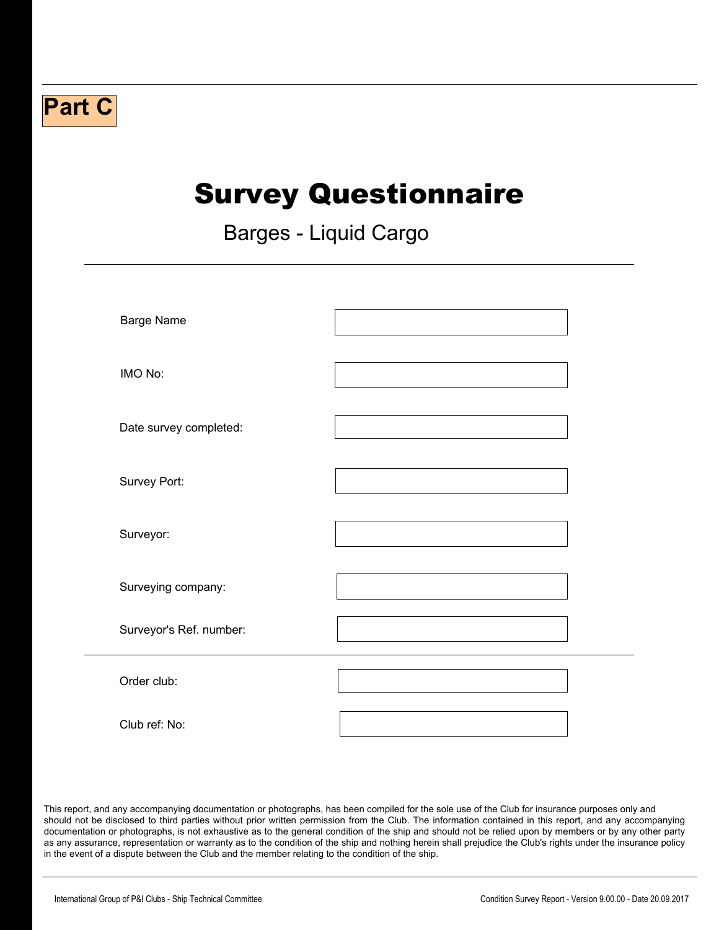## **Part C**

# Survey Questionnaire

 $\Box$ 

Barges - Liquid Cargo

| <b>Barge Name</b>       |                          |
|-------------------------|--------------------------|
| IMO No:                 |                          |
| Date survey completed:  |                          |
| Survey Port:            |                          |
| Surveyor:               |                          |
| Surveying company:      |                          |
| Surveyor's Ref. number: |                          |
| Order club:             | $\vert \mathbf{v} \vert$ |
| Club ref: No:           |                          |

This report, and any accompanying documentation or photographs, has been compiled for the sole use of the Club for insurance purposes only and should not be disclosed to third parties without prior written permission from the Club. The information contained in this report, and any accompanying documentation or photographs, is not exhaustive as to the general condition of the ship and should not be relied upon by members or by any other party as any assurance, representation or warranty as to the condition of the ship and nothing herein shall prejudice the Club's rights under the insurance policy in the event of a dispute between the Club and the member relating to the condition of the ship.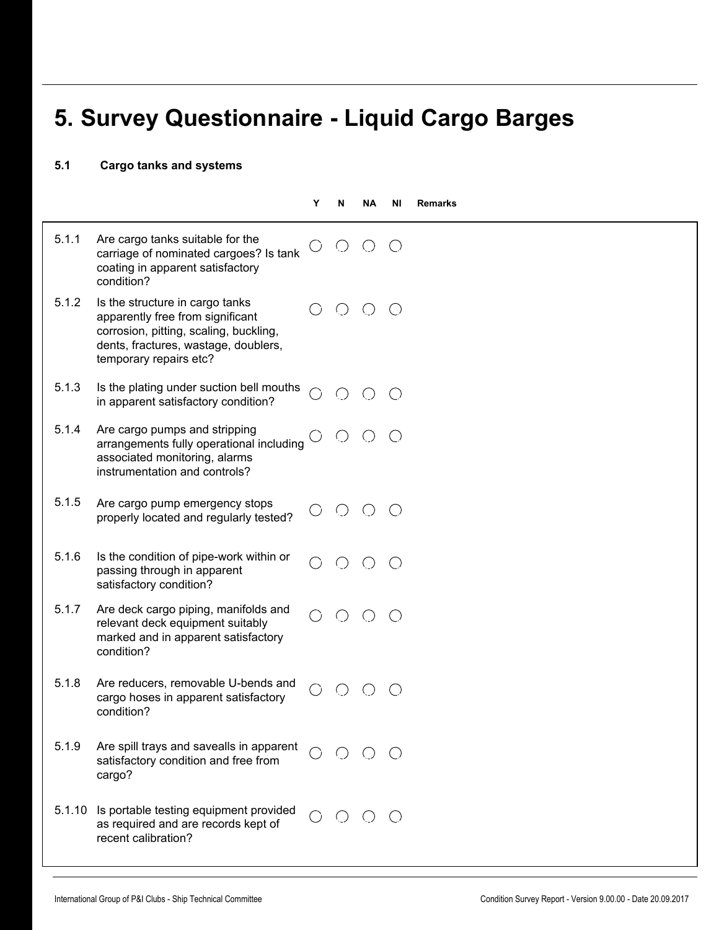## **5. Survey Questionnaire - Liquid Cargo Barges**

 $\blacktriangleright$ 

#### **5.1 Cargo tanks and systems**

|        |                                                                                                                                                                                 | Υ | N                                           | ΝA                                              | ΝI                                          | <b>Remarks</b> |
|--------|---------------------------------------------------------------------------------------------------------------------------------------------------------------------------------|---|---------------------------------------------|-------------------------------------------------|---------------------------------------------|----------------|
| 5.1.1  | Are cargo tanks suitable for the<br>carriage of nominated cargoes? Is tank<br>coating in apparent satisfactory<br>condition?                                                    |   |                                             |                                                 | $($ )                                       |                |
| 5.1.2  | Is the structure in cargo tanks<br>apparently free from significant<br>corrosion, pitting, scaling, buckling,<br>dents, fractures, wastage, doublers,<br>temporary repairs etc? |   | ( )                                         | $\left( \begin{array}{c} 1 \end{array} \right)$ | $\bigcirc$                                  |                |
| 5.1.3  | Is the plating under suction bell mouths<br>in apparent satisfactory condition?                                                                                                 |   |                                             |                                                 |                                             |                |
| 5.1.4  | Are cargo pumps and stripping<br>arrangements fully operational including<br>associated monitoring, alarms<br>instrumentation and controls?                                     |   | $\left(\begin{array}{c} \end{array}\right)$ | $($ )                                           | $\left(\begin{array}{c} \end{array}\right)$ |                |
| 5.1.5  | Are cargo pump emergency stops<br>properly located and regularly tested?                                                                                                        |   | $($ )                                       |                                                 | $($ )                                       |                |
| 5.1.6  | Is the condition of pipe-work within or<br>passing through in apparent<br>satisfactory condition?                                                                               |   |                                             |                                                 |                                             |                |
| 5.1.7  | Are deck cargo piping, manifolds and<br>relevant deck equipment suitably<br>marked and in apparent satisfactory<br>condition?                                                   |   |                                             |                                                 | $\left(\begin{array}{c} \end{array}\right)$ |                |
| 5.1.8  | Are reducers, removable U-bends and<br>cargo hoses in apparent satisfactory<br>condition?                                                                                       |   |                                             |                                                 |                                             |                |
| 5.1.9  | Are spill trays and savealls in apparent<br>satisfactory condition and free from<br>cargo?                                                                                      |   |                                             |                                                 |                                             |                |
| 5.1.10 | Is portable testing equipment provided<br>as required and are records kept of<br>recent calibration?                                                                            |   |                                             |                                                 | $\bigcirc$                                  |                |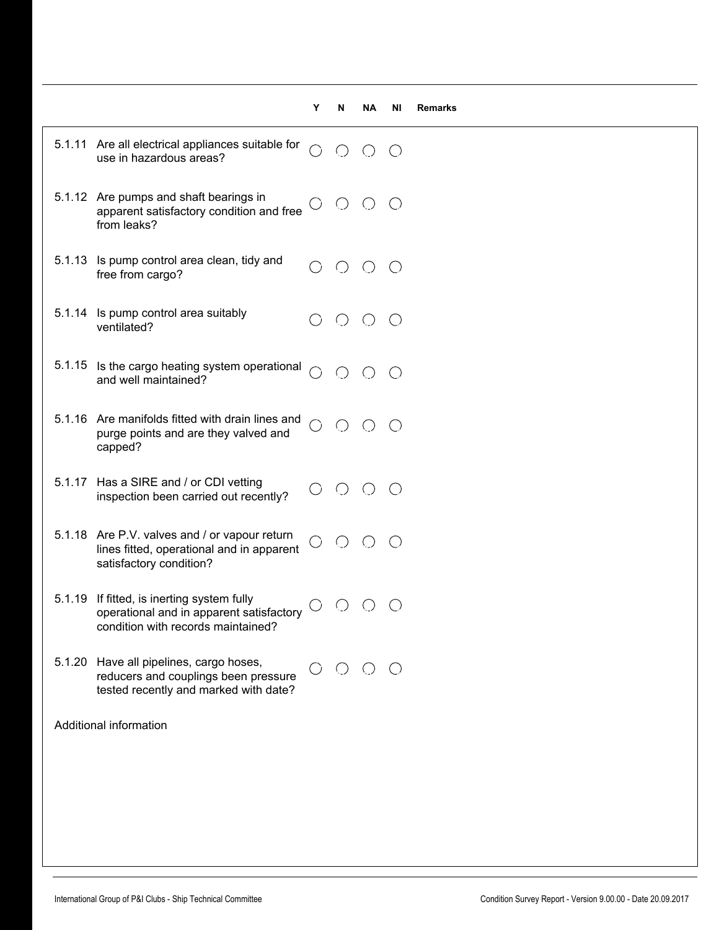|        |                                                                                                                              | Y                    | N                                           | ΝA                                          | ΝI                                          | <b>Remarks</b> |
|--------|------------------------------------------------------------------------------------------------------------------------------|----------------------|---------------------------------------------|---------------------------------------------|---------------------------------------------|----------------|
|        | 5.1.11 Are all electrical appliances suitable for<br>use in hazardous areas?                                                 | $\bigcap$            | $\bigcirc$                                  | $\bigcirc$                                  | $\bigcirc$                                  |                |
|        | 5.1.12 Are pumps and shaft bearings in<br>apparent satisfactory condition and free<br>from leaks?                            | .)                   | $\bigcirc$                                  | $\bigcirc$                                  | $\bigcirc$                                  |                |
| 5.1.13 | Is pump control area clean, tidy and<br>free from cargo?                                                                     |                      | $\bigcirc$                                  | ( )                                         | $\left(\begin{array}{c} \end{array}\right)$ |                |
|        | 5.1.14 Is pump control area suitably<br>ventilated?                                                                          |                      | $\left(\begin{array}{c} \end{array}\right)$ | $\left(\begin{array}{c} \end{array}\right)$ | ( )                                         |                |
|        | 5.1.15 Is the cargo heating system operational<br>and well maintained?                                                       |                      | $\bigcirc$                                  | $\bigcirc$                                  | $\bigcirc$                                  |                |
|        | 5.1.16 Are manifolds fitted with drain lines and<br>purge points and are they valved and<br>capped?                          | ◯                    | $\bigcirc$                                  | $\bigcirc$                                  | $\bigcirc$                                  |                |
|        | 5.1.17 Has a SIRE and / or CDI vetting<br>inspection been carried out recently?                                              | $\rightarrow$        | C)                                          | $\left(\right)$                             | $\bigcirc$                                  |                |
|        | 5.1.18 Are P.V. valves and / or vapour return<br>lines fitted, operational and in apparent<br>satisfactory condition?        | $\bigcirc$           | $\bigcirc$                                  | ( )                                         |                                             |                |
|        | 5.1.19 If fitted, is inerting system fully<br>operational and in apparent satisfactory<br>condition with records maintained? |                      | ∪                                           |                                             |                                             |                |
|        | 5.1.20 Have all pipelines, cargo hoses,<br>reducers and couplings been pressure<br>tested recently and marked with date?     | $\ddot{\phantom{1}}$ | $()$ $()$                                   |                                             | $\bigcirc$                                  |                |
|        | Additional information                                                                                                       |                      |                                             |                                             |                                             |                |
|        |                                                                                                                              |                      |                                             |                                             |                                             |                |
|        |                                                                                                                              |                      |                                             |                                             |                                             |                |
|        |                                                                                                                              |                      |                                             |                                             |                                             |                |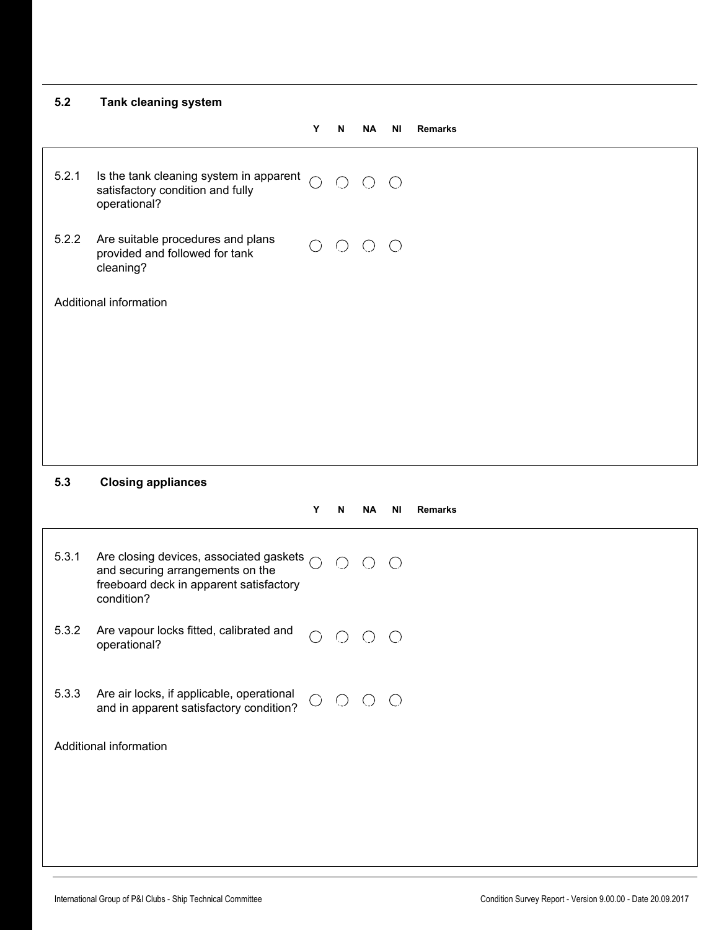| 5.2   | <b>Tank cleaning system</b>                                                                                                                    |            |            |                                                          |           |                |
|-------|------------------------------------------------------------------------------------------------------------------------------------------------|------------|------------|----------------------------------------------------------|-----------|----------------|
|       |                                                                                                                                                | Y          | N          | <b>NA</b>                                                | <b>NI</b> | <b>Remarks</b> |
| 5.2.1 | Is the tank cleaning system in apparent<br>satisfactory condition and fully<br>operational?                                                    | $\bigcap$  |            | $O$ $O$ $O$                                              |           |                |
| 5.2.2 | Are suitable procedures and plans<br>provided and followed for tank<br>cleaning?                                                               |            |            | $O$ $O$ $O$ $O$                                          |           |                |
|       | Additional information                                                                                                                         |            |            |                                                          |           |                |
|       |                                                                                                                                                |            |            |                                                          |           |                |
|       |                                                                                                                                                |            |            |                                                          |           |                |
|       |                                                                                                                                                |            |            |                                                          |           |                |
|       |                                                                                                                                                |            |            |                                                          |           |                |
|       |                                                                                                                                                |            |            |                                                          |           |                |
| 5.3   | <b>Closing appliances</b>                                                                                                                      |            |            |                                                          |           |                |
|       |                                                                                                                                                | Y          | N          | <b>NA</b>                                                | <b>NI</b> | <b>Remarks</b> |
| 5.3.1 | Are closing devices, associated gaskets $\bigcap$<br>and securing arrangements on the<br>freeboard deck in apparent satisfactory<br>condition? |            | $\bigcirc$ | $O$ $O$                                                  |           |                |
| 5.3.2 | Are vapour locks fitted, calibrated and<br>operational?                                                                                        | $\bigcirc$ |            | $\begin{array}{ccc} & \circ & \circ & \circ \end{array}$ |           |                |
| 5.3.3 | Are air locks, if applicable, operational<br>and in apparent satisfactory condition?                                                           | $\bigcirc$ |            | $\begin{array}{ccc} \circ & \circ & \circ \end{array}$   |           |                |
|       | Additional information                                                                                                                         |            |            |                                                          |           |                |
|       |                                                                                                                                                |            |            |                                                          |           |                |
|       |                                                                                                                                                |            |            |                                                          |           |                |
|       |                                                                                                                                                |            |            |                                                          |           |                |
|       |                                                                                                                                                |            |            |                                                          |           |                |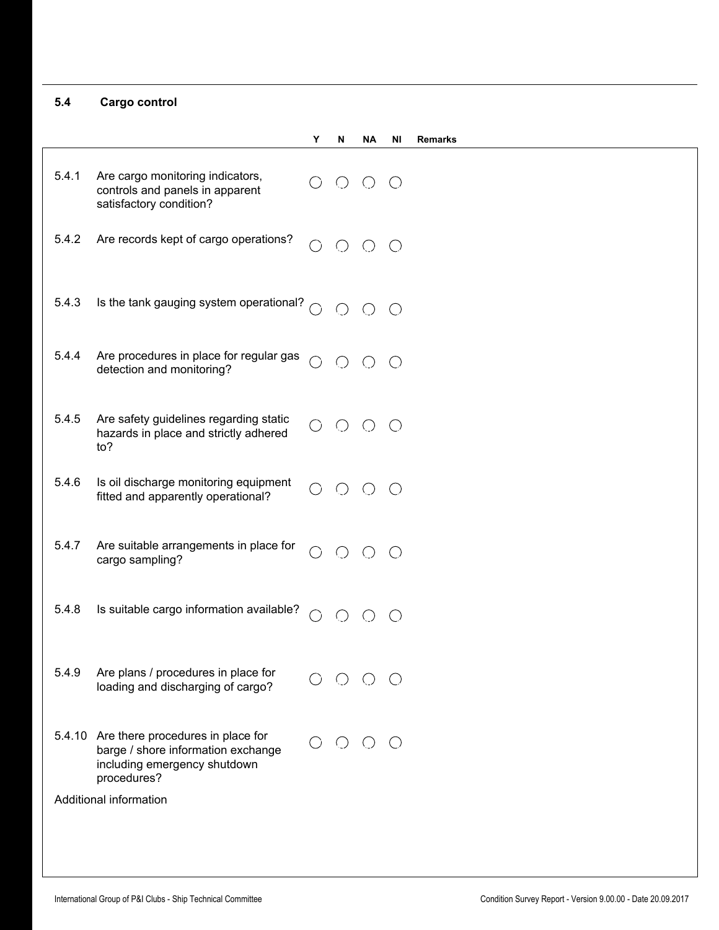#### **5.4 Cargo control**

|       |                                                                                                                               | Y          | N           | ΝA         | ΝI                                          | <b>Remarks</b> |
|-------|-------------------------------------------------------------------------------------------------------------------------------|------------|-------------|------------|---------------------------------------------|----------------|
| 5.4.1 | Are cargo monitoring indicators,<br>controls and panels in apparent<br>satisfactory condition?                                |            | $O$ $O$     |            | $(\ )$                                      |                |
| 5.4.2 | Are records kept of cargo operations?                                                                                         | $\bigcirc$ | $O$ $O$ $O$ |            |                                             |                |
| 5.4.3 | Is the tank gauging system operational? $\bigcirc$                                                                            |            | $O$ $O$     |            | $\bigcirc$                                  |                |
| 5.4.4 | Are procedures in place for regular gas<br>detection and monitoring?                                                          | $\bigcap$  | $\bigcirc$  | $\bigcirc$ | $\left(\right)$                             |                |
| 5.4.5 | Are safety guidelines regarding static<br>hazards in place and strictly adhered<br>to?                                        |            | $\bigcirc$  | $\bigcirc$ | $\left(\begin{array}{c} \end{array}\right)$ |                |
| 5.4.6 | Is oil discharge monitoring equipment<br>fitted and apparently operational?                                                   |            | $\bigcirc$  | $\bigcirc$ | $\left(\begin{array}{c} \end{array}\right)$ |                |
| 5.4.7 | Are suitable arrangements in place for<br>cargo sampling?                                                                     | ○          | $\bigcirc$  | $\bigcirc$ | $\left(\begin{array}{c} \end{array}\right)$ |                |
| 5.4.8 | Is suitable cargo information available?                                                                                      | $\bigcirc$ |             |            |                                             |                |
| 5.4.9 | Are plans / procedures in place for<br>loading and discharging of cargo?                                                      |            |             |            |                                             |                |
|       | 5.4.10 Are there procedures in place for<br>barge / shore information exchange<br>including emergency shutdown<br>procedures? |            |             |            |                                             |                |
|       | Additional information                                                                                                        |            |             |            |                                             |                |
|       |                                                                                                                               |            |             |            |                                             |                |
|       |                                                                                                                               |            |             |            |                                             |                |

 $\blacktriangleright$